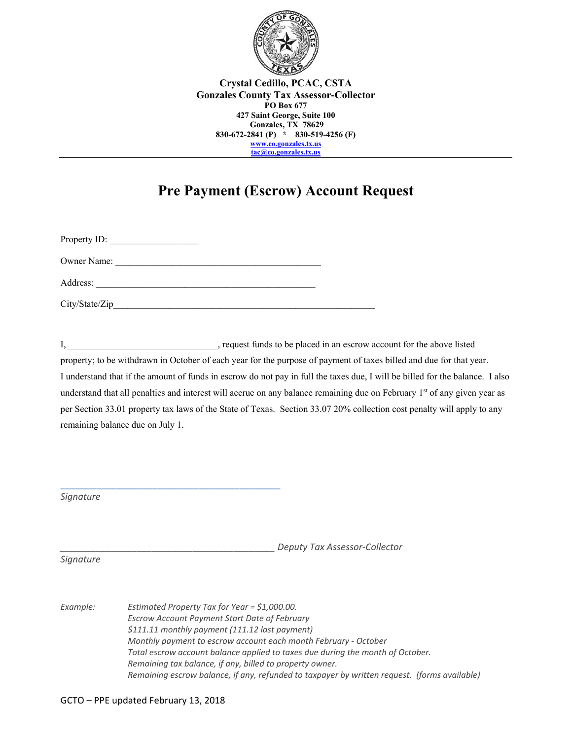

 **830-672-2841 (P) \* 830-519-4256 (F) Crystal Cedillo, PCAC, CSTA Gonzales County Tax Assessor-Collector PO Box 677 427 Saint George, Suite 100 Gonzales, TX 78629 www.co.gonzales.tx.us tac@co.gonzales.tx.us** 

## **Pre Payment (Escrow) Account Request**

Property ID: Owner Name: Address: \_\_\_\_\_\_\_\_\_\_\_\_\_\_\_\_\_\_\_\_\_\_\_\_\_\_\_\_\_\_\_\_\_\_\_\_\_\_\_\_\_\_\_\_\_\_\_ City/State/Zip\_\_\_\_\_\_\_\_\_\_\_\_\_\_\_\_\_\_\_\_\_\_\_\_\_\_\_\_\_\_\_\_\_\_\_\_\_\_\_\_\_\_\_\_\_\_\_\_\_\_\_\_\_\_\_\_

 $\overline{a_1}$  ,  $\overline{a_2}$  ,  $\overline{a_3}$  ,  $\overline{a_4}$  ,  $\overline{a_5}$  ,  $\overline{a_6}$  ,  $\overline{a_7}$  ,  $\overline{a_8}$  ,  $\overline{a_9}$  ,  $\overline{a_9}$  ,  $\overline{a_9}$  ,  $\overline{a_9}$  ,  $\overline{a_9}$  ,  $\overline{a_9}$  ,  $\overline{a_9}$  ,  $\overline{a_9}$  ,  $\overline{a_9}$  ,

 I understand that if the amount of funds in escrow do not pay in full the taxes due, I will be billed for the balance. I also understand that all penalties and interest will accrue on any balance remaining due on February 1<sup>st</sup> of any given year as per Section 33.01 property tax laws of the State of Texas. Section 33.07 20% collection cost penalty will apply to any I, \_\_\_\_\_\_\_\_\_\_\_\_\_\_\_\_\_\_\_\_\_\_\_\_\_\_\_\_\_\_, request funds to be placed in an escrow account for the above listed property; to be withdrawn in October of each year for the purpose of payment of taxes billed and due for that year. remaining balance due on July 1.

*Signature* 

*\_\_\_\_\_\_\_\_\_\_\_\_\_\_\_\_\_\_\_\_\_\_\_\_\_\_\_\_\_\_\_\_\_\_\_\_\_\_\_\_\_\_ Deputy Tax Assessor‐Collector* 

*Signature* 

Example:  *Escrow Account Payment Start Date of February Monthly payment to escrow account each month February ‐ October Total escrow account balance applied to taxes due during the month of October. Estimated Property Tax for Year = \$1,000.00. \$111.11 monthly payment (111.12 last payment) Remaining tax balance, if any, billed to property owner. Remaining escrow balance, if any, refunded to taxpayer by written request. (forms available)*